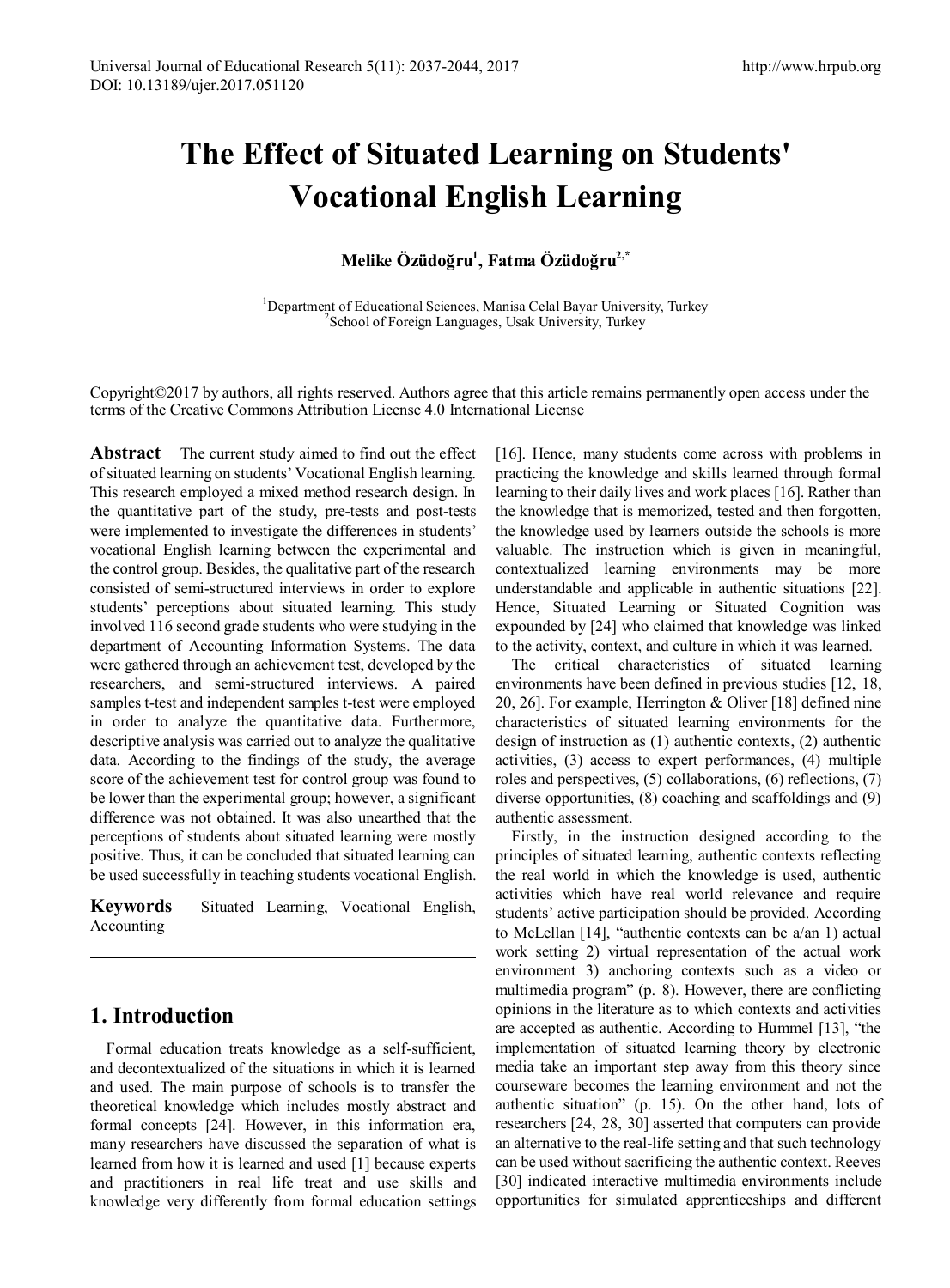# **The Effect of Situated Learning on Students' Vocational English Learning**

# **Melike Özüdoğru<sup>1</sup> , Fatma Özüdoğru2,\***

<sup>1</sup>Department of Educational Sciences, Manisa Celal Bayar University, Turkey <sup>2</sup>School of Equation Languages, Usek University, Turkey <sup>2</sup>School of Foreign Languages, Usak University, Turkey

Copyright©2017 by authors, all rights reserved. Authors agree that this article remains permanently open access under the terms of the Creative Commons Attribution License 4.0 International License

**Abstract** The current study aimed to find out the effect of situated learning on students' Vocational English learning. This research employed a mixed method research design. In the quantitative part of the study, pre-tests and post-tests were implemented to investigate the differences in students' vocational English learning between the experimental and the control group. Besides, the qualitative part of the research consisted of semi-structured interviews in order to explore students' perceptions about situated learning. This study involved 116 second grade students who were studying in the department of Accounting Information Systems. The data were gathered through an achievement test, developed by the researchers, and semi-structured interviews. A paired samples t-test and independent samples t-test were employed in order to analyze the quantitative data. Furthermore, descriptive analysis was carried out to analyze the qualitative data. According to the findings of the study, the average score of the achievement test for control group was found to be lower than the experimental group; however, a significant difference was not obtained. It was also unearthed that the perceptions of students about situated learning were mostly positive. Thus, it can be concluded that situated learning can be used successfully in teaching students vocational English.

**Keywords** Situated Learning, Vocational English, Accounting

# **1. Introduction**

Formal education treats knowledge as a self-sufficient, and decontextualized of the situations in which it is learned and used. The main purpose of schools is to transfer the theoretical knowledge which includes mostly abstract and formal concepts [24]. However, in this information era, many researchers have discussed the separation of what is learned from how it is learned and used [1] because experts and practitioners in real life treat and use skills and knowledge very differently from formal education settings [16]. Hence, many students come across with problems in practicing the knowledge and skills learned through formal learning to their daily lives and work places [16]. Rather than the knowledge that is memorized, tested and then forgotten, the knowledge used by learners outside the schools is more valuable. The instruction which is given in meaningful, contextualized learning environments may be more understandable and applicable in authentic situations [22]. Hence, Situated Learning or Situated Cognition was expounded by [24] who claimed that knowledge was linked to the activity, context, and culture in which it was learned.

The critical characteristics of situated learning environments have been defined in previous studies [12, 18, 20, 26]. For example, Herrington & Oliver [18] defined nine characteristics of situated learning environments for the design of instruction as (1) authentic contexts, (2) authentic activities, (3) access to expert performances, (4) multiple roles and perspectives, (5) collaborations, (6) reflections, (7) diverse opportunities, (8) coaching and scaffoldings and (9) authentic assessment.

Firstly, in the instruction designed according to the principles of situated learning, authentic contexts reflecting the real world in which the knowledge is used, authentic activities which have real world relevance and require students' active participation should be provided. According to McLellan [14], "authentic contexts can be a/an 1) actual work setting 2) virtual representation of the actual work environment 3) anchoring contexts such as a video or multimedia program" (p. 8). However, there are conflicting opinions in the literature as to which contexts and activities are accepted as authentic. According to Hummel [13], "the implementation of situated learning theory by electronic media take an important step away from this theory since courseware becomes the learning environment and not the authentic situation" (p. 15). On the other hand, lots of researchers [24, 28, 30] asserted that computers can provide an alternative to the real-life setting and that such technology can be used without sacrificing the authentic context. Reeves [30] indicated interactive multimedia environments include opportunities for simulated apprenticeships and different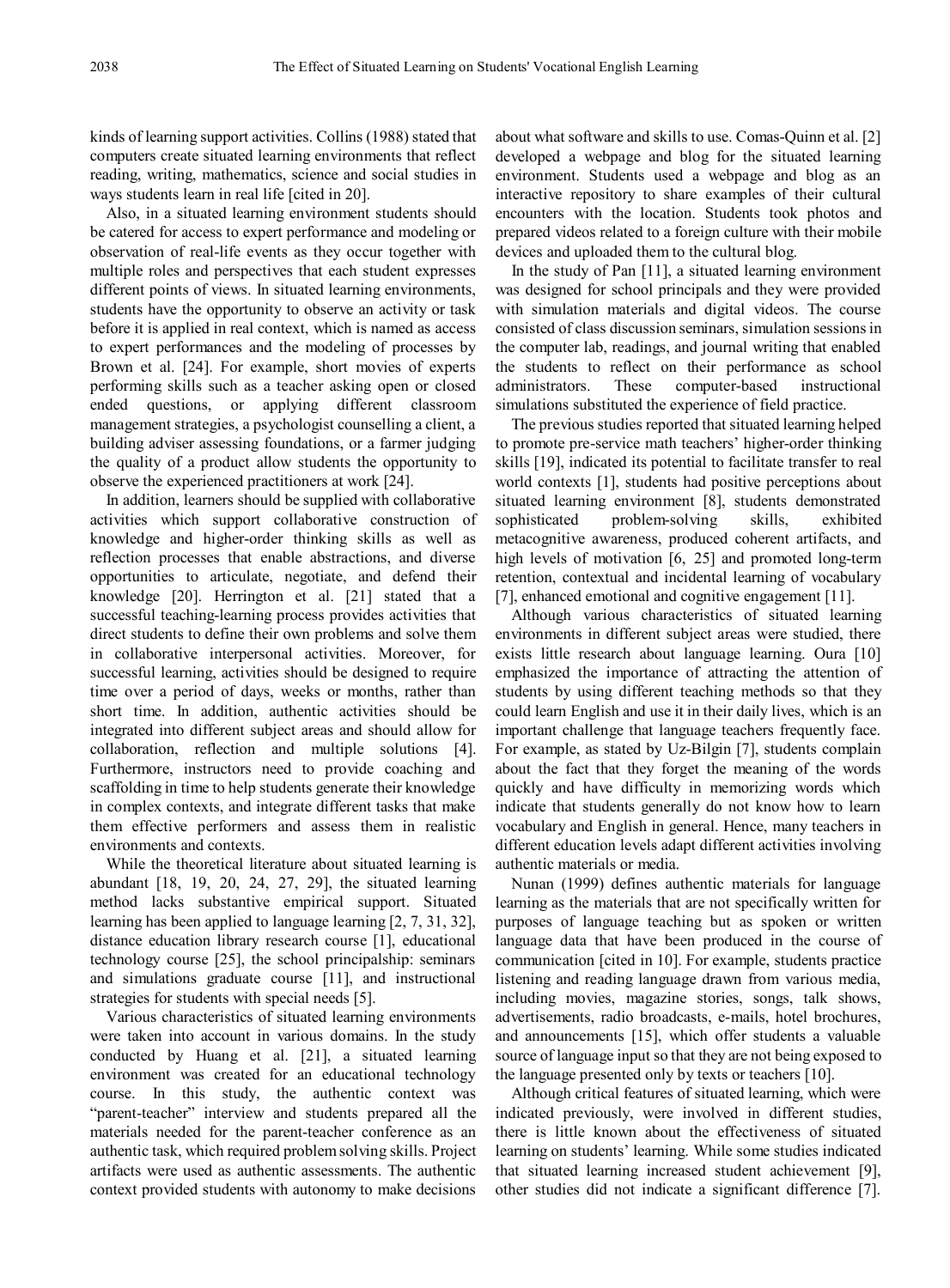kinds of learning support activities. Collins (1988) stated that computers create situated learning environments that reflect reading, writing, mathematics, science and social studies in ways students learn in real life [cited in 20].

Also, in a situated learning environment students should be catered for access to expert performance and modeling or observation of real-life events as they occur together with multiple roles and perspectives that each student expresses different points of views. In situated learning environments, students have the opportunity to observe an activity or task before it is applied in real context, which is named as access to expert performances and the modeling of processes by Brown et al. [24]. For example, short movies of experts performing skills such as a teacher asking open or closed ended questions, or applying different classroom management strategies, a psychologist counselling a client, a building adviser assessing foundations, or a farmer judging the quality of a product allow students the opportunity to observe the experienced practitioners at work [24].

In addition, learners should be supplied with collaborative activities which support collaborative construction of knowledge and higher-order thinking skills as well as reflection processes that enable abstractions, and diverse opportunities to articulate, negotiate, and defend their knowledge [20]. Herrington et al. [21] stated that a successful teaching-learning process provides activities that direct students to define their own problems and solve them in collaborative interpersonal activities. Moreover, for successful learning, activities should be designed to require time over a period of days, weeks or months, rather than short time. In addition, authentic activities should be integrated into different subject areas and should allow for collaboration, reflection and multiple solutions [4]. Furthermore, instructors need to provide coaching and scaffolding in time to help students generate their knowledge in complex contexts, and integrate different tasks that make them effective performers and assess them in realistic environments and contexts.

While the theoretical literature about situated learning is abundant [18, 19, 20, 24, 27, 29], the situated learning method lacks substantive empirical support. Situated learning has been applied to language learning [2, 7, 31, 32], distance education library research course [1], educational technology course [25], the school principalship: seminars and simulations graduate course [11], and instructional strategies for students with special needs [5].

Various characteristics of situated learning environments were taken into account in various domains. In the study conducted by Huang et al. [21], a situated learning environment was created for an educational technology course. In this study, the authentic context was "parent-teacher" interview and students prepared all the materials needed for the parent-teacher conference as an authentic task, which required problem solving skills. Project artifacts were used as authentic assessments. The authentic context provided students with autonomy to make decisions

about what software and skills to use. Comas-Quinn et al. [2] developed a webpage and blog for the situated learning environment. Students used a webpage and blog as an interactive repository to share examples of their cultural encounters with the location. Students took photos and prepared videos related to a foreign culture with their mobile devices and uploaded them to the cultural blog.

In the study of Pan [11], a situated learning environment was designed for school principals and they were provided with simulation materials and digital videos. The course consisted of class discussion seminars, simulation sessions in the computer lab, readings, and journal writing that enabled the students to reflect on their performance as school administrators. These computer-based instructional simulations substituted the experience of field practice.

The previous studies reported that situated learning helped to promote pre-service math teachers' higher-order thinking skills [19], indicated its potential to facilitate transfer to real world contexts [1], students had positive perceptions about situated learning environment [8], students demonstrated sophisticated problem-solving skills, exhibited metacognitive awareness, produced coherent artifacts, and high levels of motivation [6, 25] and promoted long-term retention, contextual and incidental learning of vocabulary [7], enhanced emotional and cognitive engagement [11].

Although various characteristics of situated learning environments in different subject areas were studied, there exists little research about language learning. Oura [10] emphasized the importance of attracting the attention of students by using different teaching methods so that they could learn English and use it in their daily lives, which is an important challenge that language teachers frequently face. For example, as stated by Uz-Bilgin [7], students complain about the fact that they forget the meaning of the words quickly and have difficulty in memorizing words which indicate that students generally do not know how to learn vocabulary and English in general. Hence, many teachers in different education levels adapt different activities involving authentic materials or media.

Nunan (1999) defines authentic materials for language learning as the materials that are not specifically written for purposes of language teaching but as spoken or written language data that have been produced in the course of communication [cited in 10]. For example, students practice listening and reading language drawn from various media, including movies, magazine stories, songs, talk shows, advertisements, radio broadcasts, e-mails, hotel brochures, and announcements [15], which offer students a valuable source of language input so that they are not being exposed to the language presented only by texts or teachers [10].

Although critical features of situated learning, which were indicated previously, were involved in different studies, there is little known about the effectiveness of situated learning on students' learning. While some studies indicated that situated learning increased student achievement [9], other studies did not indicate a significant difference [7].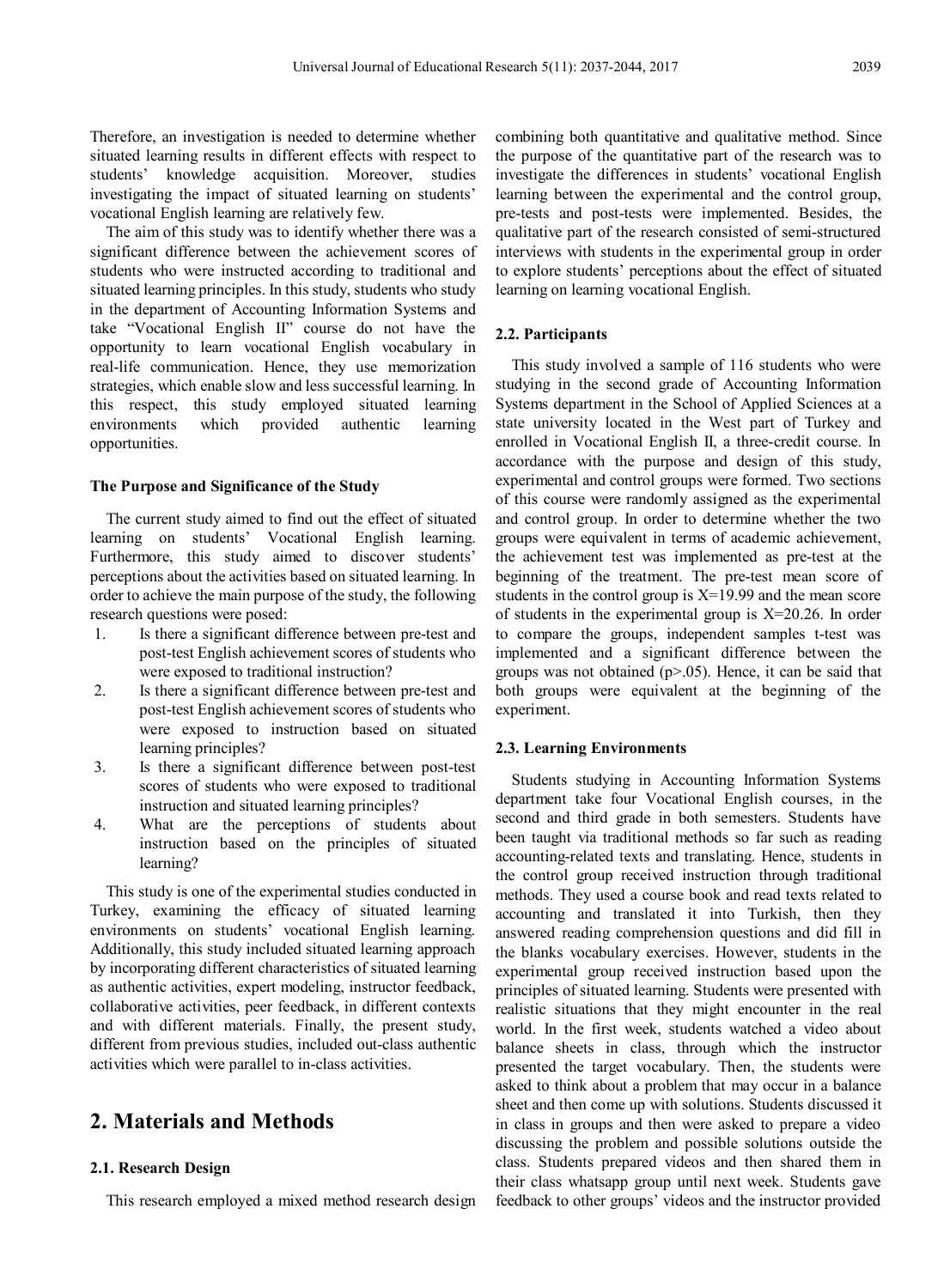Therefore, an investigation is needed to determine whether situated learning results in different effects with respect to students' knowledge acquisition. Moreover, studies investigating the impact of situated learning on students' vocational English learning are relatively few.

The aim of this study was to identify whether there was a significant difference between the achievement scores of students who were instructed according to traditional and situated learning principles. In this study, students who study in the department of Accounting Information Systems and take "Vocational English II" course do not have the opportunity to learn vocational English vocabulary in real-life communication. Hence, they use memorization strategies, which enable slow and less successful learning. In this respect, this study employed situated learning environments which provided authentic learning opportunities.

#### **The Purpose and Significance of the Study**

The current study aimed to find out the effect of situated learning on students' Vocational English learning. Furthermore, this study aimed to discover students' perceptions about the activities based on situated learning. In order to achieve the main purpose of the study, the following research questions were posed:

- 1. Is there a significant difference between pre-test and post-test English achievement scores of students who were exposed to traditional instruction?
- 2. Is there a significant difference between pre-test and post-test English achievement scores of students who were exposed to instruction based on situated learning principles?
- 3. Is there a significant difference between post-test scores of students who were exposed to traditional instruction and situated learning principles?
- 4. What are the perceptions of students about instruction based on the principles of situated learning?

This study is one of the experimental studies conducted in Turkey, examining the efficacy of situated learning environments on students' vocational English learning. Additionally, this study included situated learning approach by incorporating different characteristics of situated learning as authentic activities, expert modeling, instructor feedback, collaborative activities, peer feedback, in different contexts and with different materials. Finally, the present study, different from previous studies, included out-class authentic activities which were parallel to in-class activities.

# **2. Materials and Methods**

# **2.1. Research Design**

This research employed a mixed method research design

combining both quantitative and qualitative method. Since the purpose of the quantitative part of the research was to investigate the differences in students' vocational English learning between the experimental and the control group, pre-tests and post-tests were implemented. Besides, the qualitative part of the research consisted of semi-structured interviews with students in the experimental group in order to explore students' perceptions about the effect of situated learning on learning vocational English.

## **2.2. Participants**

This study involved a sample of 116 students who were studying in the second grade of Accounting Information Systems department in the School of Applied Sciences at a state university located in the West part of Turkey and enrolled in Vocational English II, a three-credit course. In accordance with the purpose and design of this study, experimental and control groups were formed. Two sections of this course were randomly assigned as the experimental and control group. In order to determine whether the two groups were equivalent in terms of academic achievement, the achievement test was implemented as pre-test at the beginning of the treatment. The pre-test mean score of students in the control group is  $X=19.99$  and the mean score of students in the experimental group is X=20.26. In order to compare the groups, independent samples t-test was implemented and a significant difference between the groups was not obtained  $(p>0.05)$ . Hence, it can be said that both groups were equivalent at the beginning of the experiment.

#### **2.3. Learning Environments**

Students studying in Accounting Information Systems department take four Vocational English courses, in the second and third grade in both semesters. Students have been taught via traditional methods so far such as reading accounting-related texts and translating. Hence, students in the control group received instruction through traditional methods. They used a course book and read texts related to accounting and translated it into Turkish, then they answered reading comprehension questions and did fill in the blanks vocabulary exercises. However, students in the experimental group received instruction based upon the principles of situated learning. Students were presented with realistic situations that they might encounter in the real world. In the first week, students watched a video about balance sheets in class, through which the instructor presented the target vocabulary. Then, the students were asked to think about a problem that may occur in a balance sheet and then come up with solutions. Students discussed it in class in groups and then were asked to prepare a video discussing the problem and possible solutions outside the class. Students prepared videos and then shared them in their class whatsapp group until next week. Students gave feedback to other groups' videos and the instructor provided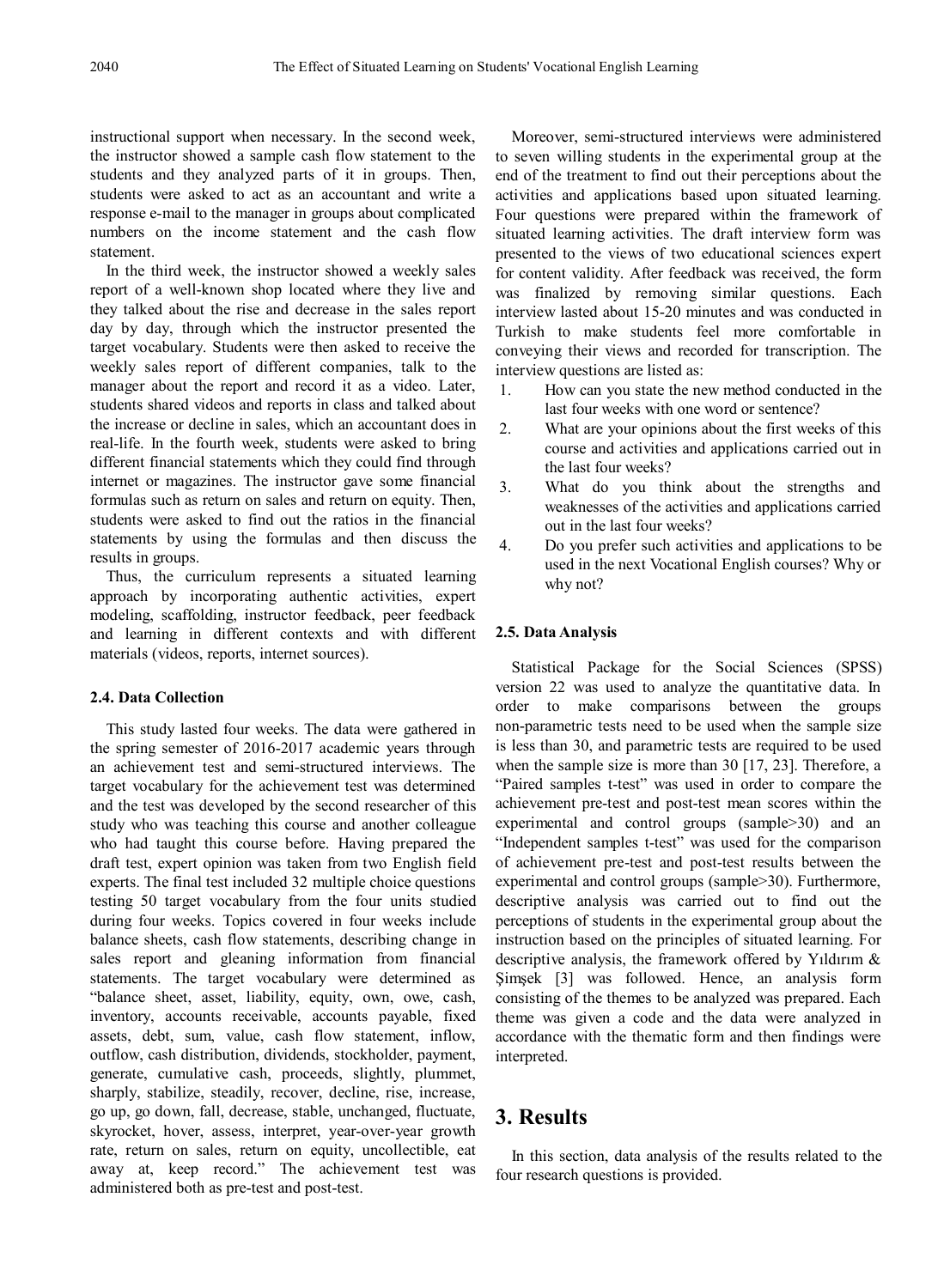instructional support when necessary. In the second week, the instructor showed a sample cash flow statement to the students and they analyzed parts of it in groups. Then, students were asked to act as an accountant and write a response e-mail to the manager in groups about complicated numbers on the income statement and the cash flow statement.

In the third week, the instructor showed a weekly sales report of a well-known shop located where they live and they talked about the rise and decrease in the sales report day by day, through which the instructor presented the target vocabulary. Students were then asked to receive the weekly sales report of different companies, talk to the manager about the report and record it as a video. Later, students shared videos and reports in class and talked about the increase or decline in sales, which an accountant does in real-life. In the fourth week, students were asked to bring different financial statements which they could find through internet or magazines. The instructor gave some financial formulas such as return on sales and return on equity. Then, students were asked to find out the ratios in the financial statements by using the formulas and then discuss the results in groups.

Thus, the curriculum represents a situated learning approach by incorporating authentic activities, expert modeling, scaffolding, instructor feedback, peer feedback and learning in different contexts and with different materials (videos, reports, internet sources).

## **2.4. Data Collection**

This study lasted four weeks. The data were gathered in the spring semester of 2016-2017 academic years through an achievement test and semi-structured interviews. The target vocabulary for the achievement test was determined and the test was developed by the second researcher of this study who was teaching this course and another colleague who had taught this course before. Having prepared the draft test, expert opinion was taken from two English field experts. The final test included 32 multiple choice questions testing 50 target vocabulary from the four units studied during four weeks. Topics covered in four weeks include balance sheets, cash flow statements, describing change in sales report and gleaning information from financial statements. The target vocabulary were determined as "balance sheet, asset, liability, equity, own, owe, cash, inventory, accounts receivable, accounts payable, fixed assets, debt, sum, value, cash flow statement, inflow, outflow, cash distribution, dividends, stockholder, payment, generate, cumulative cash, proceeds, slightly, plummet, sharply, stabilize, steadily, recover, decline, rise, increase, go up, go down, fall, decrease, stable, unchanged, fluctuate, skyrocket, hover, assess, interpret, year-over-year growth rate, return on sales, return on equity, uncollectible, eat away at, keep record." The achievement test was administered both as pre-test and post-test.

Moreover, semi-structured interviews were administered to seven willing students in the experimental group at the end of the treatment to find out their perceptions about the activities and applications based upon situated learning. Four questions were prepared within the framework of situated learning activities. The draft interview form was presented to the views of two educational sciences expert for content validity. After feedback was received, the form was finalized by removing similar questions. Each interview lasted about 15-20 minutes and was conducted in Turkish to make students feel more comfortable in conveying their views and recorded for transcription. The interview questions are listed as:

- 1. How can you state the new method conducted in the last four weeks with one word or sentence?
- 2. What are your opinions about the first weeks of this course and activities and applications carried out in the last four weeks?
- 3. What do you think about the strengths and weaknesses of the activities and applications carried out in the last four weeks?
- 4. Do you prefer such activities and applications to be used in the next Vocational English courses? Why or why not?

# **2.5. Data Analysis**

Statistical Package for the Social Sciences (SPSS) version 22 was used to analyze the quantitative data. In order to make comparisons between the groups non-parametric tests need to be used when the sample size is less than 30, and parametric tests are required to be used when the sample size is more than 30 [17, 23]. Therefore, a "Paired samples t-test" was used in order to compare the achievement pre-test and post-test mean scores within the experimental and control groups (sample>30) and an "Independent samples t-test" was used for the comparison of achievement pre-test and post-test results between the experimental and control groups (sample>30). Furthermore, descriptive analysis was carried out to find out the perceptions of students in the experimental group about the instruction based on the principles of situated learning. For descriptive analysis, the framework offered by Yıldırım & Şimşek [3] was followed. Hence, an analysis form consisting of the themes to be analyzed was prepared. Each theme was given a code and the data were analyzed in accordance with the thematic form and then findings were interpreted.

# **3. Results**

In this section, data analysis of the results related to the four research questions is provided.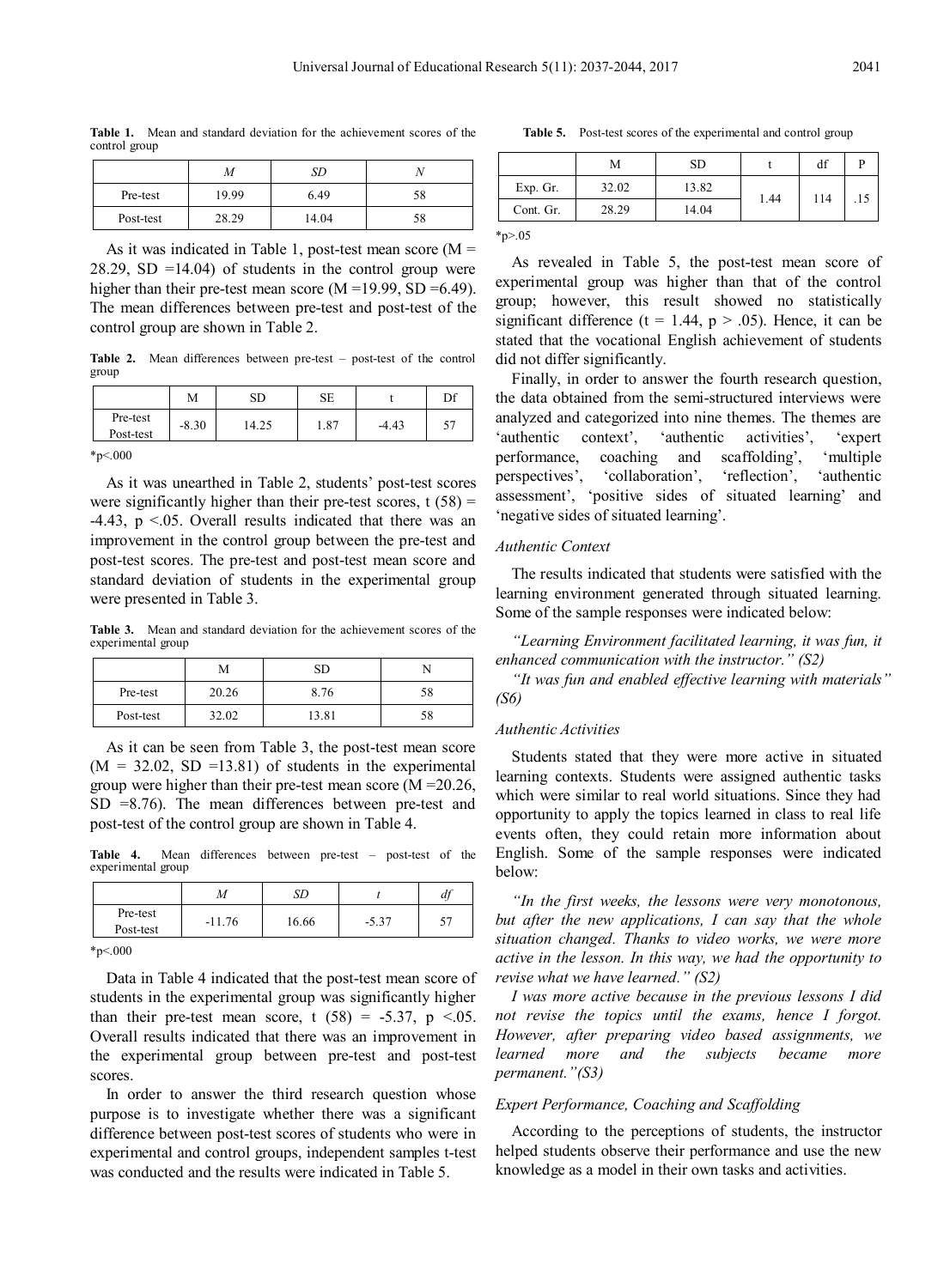**Table 1.** Mean and standard deviation for the achievement scores of the control group

|           | M     | SD    |    |
|-----------|-------|-------|----|
| Pre-test  | 19.99 | 6.49  | 58 |
| Post-test | 28.29 | 14.04 | 58 |

As it was indicated in Table 1, post-test mean score  $(M =$  $28.29$ , SD =14.04) of students in the control group were higher than their pre-test mean score  $(M = 19.99, SD = 6.49)$ . The mean differences between pre-test and post-test of the control group are shown in Table 2.

**Table 2.** Mean differences between pre-test – post-test of the control group

|                       | М       | SD    | SЕ   |         | Df |
|-----------------------|---------|-------|------|---------|----|
| Pre-test<br>Post-test | $-8.30$ | 14.25 | 1.87 | $-4.43$ | 57 |
| $~^{\ast}p<.000$      |         |       |      |         |    |

As it was unearthed in Table 2, students' post-test scores were significantly higher than their pre-test scores,  $t(58) =$  $-4.43$ ,  $p \le 0.05$ . Overall results indicated that there was an improvement in the control group between the pre-test and post-test scores. The pre-test and post-test mean score and standard deviation of students in the experimental group were presented in Table 3.

**Table 3.** Mean and standard deviation for the achievement scores of the experimental group

|           | М     | SD    |    |
|-----------|-------|-------|----|
| Pre-test  | 20.26 | 8.76  | 58 |
| Post-test | 32.02 | 13.81 | 58 |

As it can be seen from Table 3, the post-test mean score  $(M = 32.02, SD = 13.81)$  of students in the experimental group were higher than their pre-test mean score (M =20.26, SD =8.76). The mean differences between pre-test and post-test of the control group are shown in Table 4.

**Table 4.** Mean differences between pre-test – post-test of the experimental group

|                       | M        | SD    |         | df |
|-----------------------|----------|-------|---------|----|
| Pre-test<br>Post-test | $-11.76$ | 16.66 | $-5.37$ |    |

\*p<.000

Data in Table 4 indicated that the post-test mean score of students in the experimental group was significantly higher than their pre-test mean score, t  $(58) = -5.37$ , p <.05. Overall results indicated that there was an improvement in the experimental group between pre-test and post-test scores.

In order to answer the third research question whose purpose is to investigate whether there was a significant difference between post-test scores of students who were in experimental and control groups, independent samples t-test was conducted and the results were indicated in Table 5.

**Table 5.** Post-test scores of the experimental and control group

| 13.82<br>32.02<br>Exp. Gr.<br>114<br>1.44<br>.15<br>28.29<br>14.04<br>Cont. Gr. | M | <b>SD</b> | df |  |
|---------------------------------------------------------------------------------|---|-----------|----|--|
|                                                                                 |   |           |    |  |
|                                                                                 |   |           |    |  |

 $*_{p>05}$ 

As revealed in Table 5, the post-test mean score of experimental group was higher than that of the control group; however, this result showed no statistically significant difference (t = 1.44,  $p > .05$ ). Hence, it can be stated that the vocational English achievement of students did not differ significantly.

Finally, in order to answer the fourth research question, the data obtained from the semi-structured interviews were analyzed and categorized into nine themes. The themes are 'authentic context', 'authentic activities', 'expert performance, coaching and scaffolding', 'multiple perspectives', 'collaboration', 'reflection', 'authentic assessment', 'positive sides of situated learning' and 'negative sides of situated learning'.

## *Authentic Context*

The results indicated that students were satisfied with the learning environment generated through situated learning. Some of the sample responses were indicated below:

*"Learning Environment facilitated learning, it was fun, it enhanced communication with the instructor." (S2)*

*"It was fun and enabled effective learning with materials" (S6)*

#### *Authentic Activities*

Students stated that they were more active in situated learning contexts. Students were assigned authentic tasks which were similar to real world situations. Since they had opportunity to apply the topics learned in class to real life events often, they could retain more information about English. Some of the sample responses were indicated below:

*"In the first weeks, the lessons were very monotonous, but after the new applications, I can say that the whole situation changed. Thanks to video works, we were more active in the lesson. In this way, we had the opportunity to revise what we have learned." (S2)*

*I was more active because in the previous lessons I did not revise the topics until the exams, hence I forgot. However, after preparing video based assignments, we learned more and the subjects became more permanent."(S3)*

## *Expert Performance, Coaching and Scaffolding*

According to the perceptions of students, the instructor helped students observe their performance and use the new knowledge as a model in their own tasks and activities.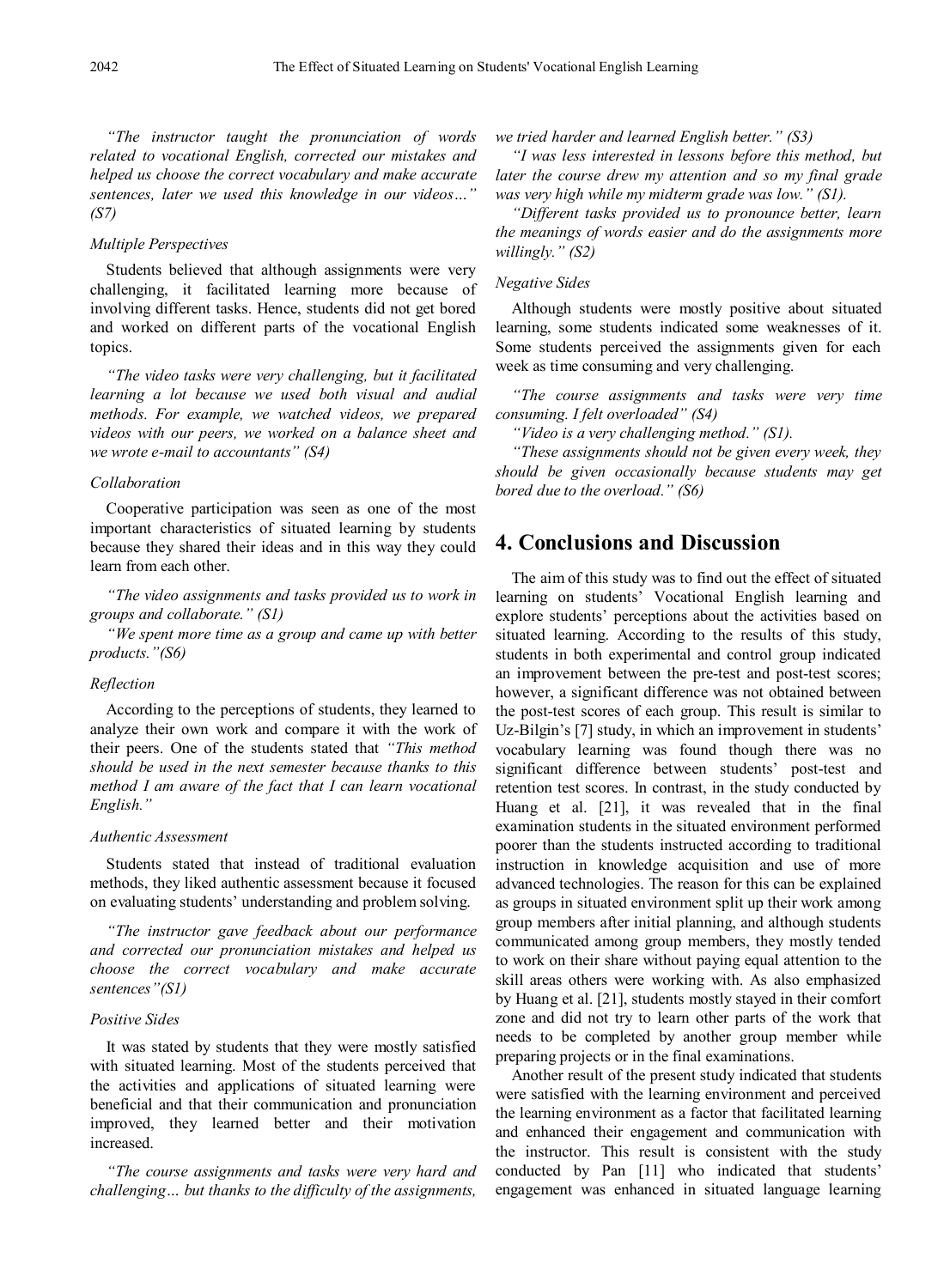*"The instructor taught the pronunciation of words related to vocational English, corrected our mistakes and helped us choose the correct vocabulary and make accurate sentences, later we used this knowledge in our videos…" (S7)*

#### *Multiple Perspectives*

Students believed that although assignments were very challenging, it facilitated learning more because of involving different tasks. Hence, students did not get bored and worked on different parts of the vocational English topics.

*"The video tasks were very challenging, but it facilitated learning a lot because we used both visual and audial methods. For example, we watched videos, we prepared videos with our peers, we worked on a balance sheet and we wrote e-mail to accountants" (S4)*

#### *Collaboration*

Cooperative participation was seen as one of the most important characteristics of situated learning by students because they shared their ideas and in this way they could learn from each other.

*"The video assignments and tasks provided us to work in groups and collaborate." (S1)*

*"We spent more time as a group and came up with better products."(S6)*

## *Reflection*

According to the perceptions of students, they learned to analyze their own work and compare it with the work of their peers. One of the students stated that *"This method should be used in the next semester because thanks to this method I am aware of the fact that I can learn vocational English."*

#### *Authentic Assessment*

Students stated that instead of traditional evaluation methods, they liked authentic assessment because it focused on evaluating students' understanding and problem solving.

*"The instructor gave feedback about our performance and corrected our pronunciation mistakes and helped us choose the correct vocabulary and make accurate sentences"(S1)*

## *Positive Sides*

It was stated by students that they were mostly satisfied with situated learning. Most of the students perceived that the activities and applications of situated learning were beneficial and that their communication and pronunciation improved, they learned better and their motivation increased.

*"The course assignments and tasks were very hard and challenging… but thanks to the difficulty of the assignments,* 

*we tried harder and learned English better." (S3)*

*"I was less interested in lessons before this method, but later the course drew my attention and so my final grade was very high while my midterm grade was low." (S1).*

*"Different tasks provided us to pronounce better, learn the meanings of words easier and do the assignments more willingly." (S2)*

#### *Negative Sides*

Although students were mostly positive about situated learning, some students indicated some weaknesses of it. Some students perceived the assignments given for each week as time consuming and very challenging.

*"The course assignments and tasks were very time consuming. I felt overloaded" (S4)*

*"Video is a very challenging method." (S1).*

*"These assignments should not be given every week, they should be given occasionally because students may get bored due to the overload." (S6)*

# **4. Conclusions and Discussion**

The aim of this study was to find out the effect of situated learning on students' Vocational English learning and explore students' perceptions about the activities based on situated learning. According to the results of this study, students in both experimental and control group indicated an improvement between the pre-test and post-test scores; however, a significant difference was not obtained between the post-test scores of each group. This result is similar to Uz-Bilgin's [7] study, in which an improvement in students' vocabulary learning was found though there was no significant difference between students' post-test and retention test scores. In contrast, in the study conducted by Huang et al. [21], it was revealed that in the final examination students in the situated environment performed poorer than the students instructed according to traditional instruction in knowledge acquisition and use of more advanced technologies. The reason for this can be explained as groups in situated environment split up their work among group members after initial planning, and although students communicated among group members, they mostly tended to work on their share without paying equal attention to the skill areas others were working with. As also emphasized by Huang et al. [21], students mostly stayed in their comfort zone and did not try to learn other parts of the work that needs to be completed by another group member while preparing projects or in the final examinations.

Another result of the present study indicated that students were satisfied with the learning environment and perceived the learning environment as a factor that facilitated learning and enhanced their engagement and communication with the instructor. This result is consistent with the study conducted by Pan [11] who indicated that students' engagement was enhanced in situated language learning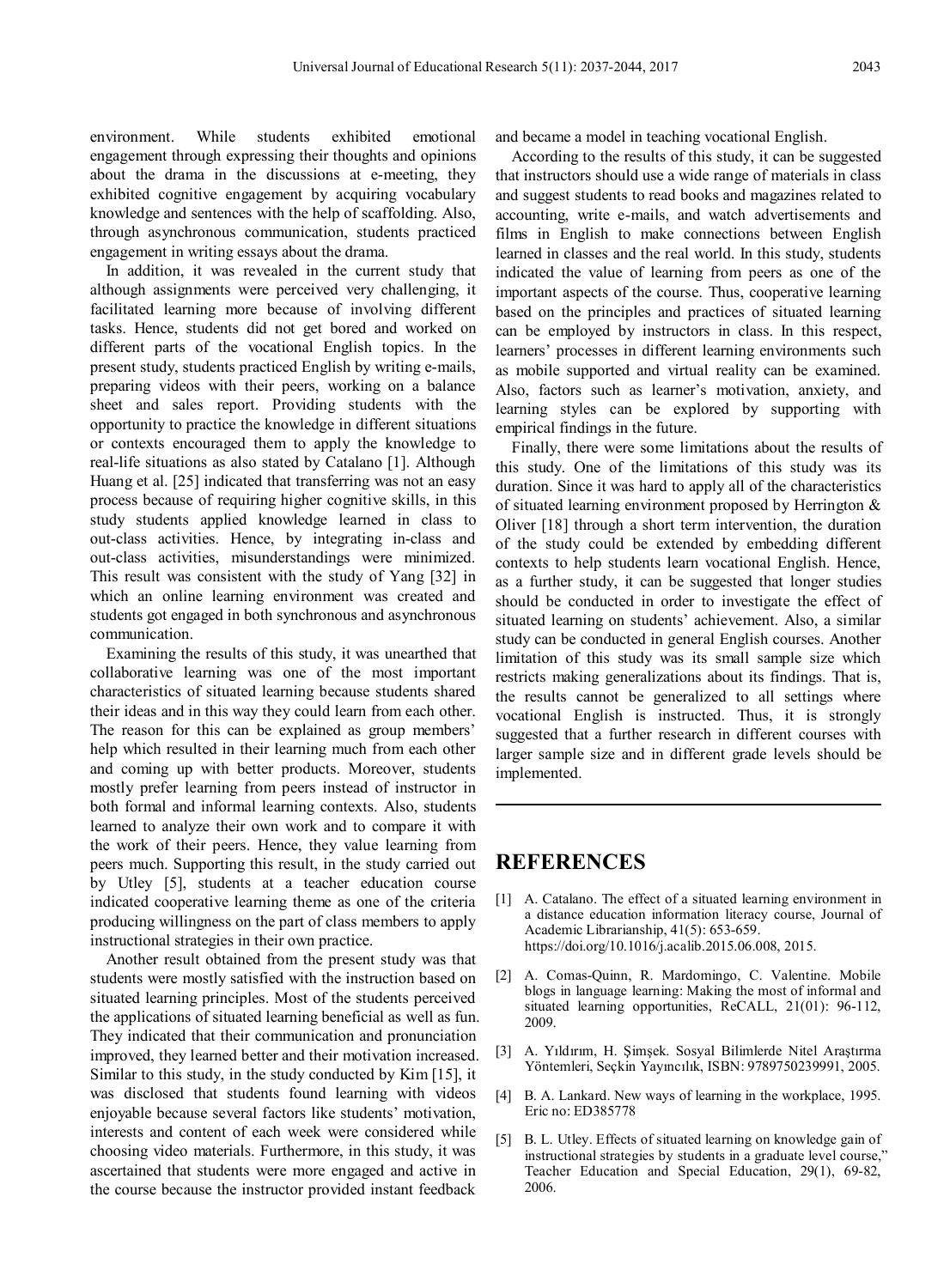environment. While students exhibited emotional engagement through expressing their thoughts and opinions about the drama in the discussions at e-meeting, they exhibited cognitive engagement by acquiring vocabulary knowledge and sentences with the help of scaffolding. Also, through asynchronous communication, students practiced engagement in writing essays about the drama.

In addition, it was revealed in the current study that although assignments were perceived very challenging, it facilitated learning more because of involving different tasks. Hence, students did not get bored and worked on different parts of the vocational English topics. In the present study, students practiced English by writing e-mails, preparing videos with their peers, working on a balance sheet and sales report. Providing students with the opportunity to practice the knowledge in different situations or contexts encouraged them to apply the knowledge to real-life situations as also stated by Catalano [1]. Although Huang et al. [25] indicated that transferring was not an easy process because of requiring higher cognitive skills, in this study students applied knowledge learned in class to out-class activities. Hence, by integrating in-class and out-class activities, misunderstandings were minimized. This result was consistent with the study of Yang [32] in which an online learning environment was created and students got engaged in both synchronous and asynchronous communication.

Examining the results of this study, it was unearthed that collaborative learning was one of the most important characteristics of situated learning because students shared their ideas and in this way they could learn from each other. The reason for this can be explained as group members' help which resulted in their learning much from each other and coming up with better products. Moreover, students mostly prefer learning from peers instead of instructor in both formal and informal learning contexts. Also, students learned to analyze their own work and to compare it with the work of their peers. Hence, they value learning from peers much. Supporting this result, in the study carried out by Utley [5], students at a teacher education course indicated cooperative learning theme as one of the criteria producing willingness on the part of class members to apply instructional strategies in their own practice.

Another result obtained from the present study was that students were mostly satisfied with the instruction based on situated learning principles. Most of the students perceived the applications of situated learning beneficial as well as fun. They indicated that their communication and pronunciation improved, they learned better and their motivation increased. Similar to this study, in the study conducted by Kim [15], it was disclosed that students found learning with videos enjoyable because several factors like students' motivation, interests and content of each week were considered while choosing video materials. Furthermore, in this study, it was ascertained that students were more engaged and active in the course because the instructor provided instant feedback

and became a model in teaching vocational English.

According to the results of this study, it can be suggested that instructors should use a wide range of materials in class and suggest students to read books and magazines related to accounting, write e-mails, and watch advertisements and films in English to make connections between English learned in classes and the real world. In this study, students indicated the value of learning from peers as one of the important aspects of the course. Thus, cooperative learning based on the principles and practices of situated learning can be employed by instructors in class. In this respect, learners' processes in different learning environments such as mobile supported and virtual reality can be examined. Also, factors such as learner's motivation, anxiety, and learning styles can be explored by supporting with empirical findings in the future.

Finally, there were some limitations about the results of this study. One of the limitations of this study was its duration. Since it was hard to apply all of the characteristics of situated learning environment proposed by Herrington & Oliver [18] through a short term intervention, the duration of the study could be extended by embedding different contexts to help students learn vocational English. Hence, as a further study, it can be suggested that longer studies should be conducted in order to investigate the effect of situated learning on students' achievement. Also, a similar study can be conducted in general English courses. Another limitation of this study was its small sample size which restricts making generalizations about its findings. That is, the results cannot be generalized to all settings where vocational English is instructed. Thus, it is strongly suggested that a further research in different courses with larger sample size and in different grade levels should be implemented.

# **REFERENCES**

- [1] A. Catalano. The effect of a situated learning environment in a distance education information literacy course, Journal of Academic Librarianship, 41(5): 653-659. https://doi.org/10.1016/j.acalib.2015.06.008, 2015.
- [2] A. Comas-Quinn, R. Mardomingo, C. Valentine. Mobile blogs in language learning: Making the most of informal and situated learning opportunities, ReCALL, 21(01): 96-112, 2009.
- [3] A. Yıldırım, H. Şimşek. Sosyal Bilimlerde Nitel Araştırma Yöntemleri, Seçkin Yayıncılık, ISBN: 9789750239991, 2005.
- [4] B. A. Lankard. New ways of learning in the workplace, 1995. Eric no: ED385778
- [5] B. L. Utley. Effects of situated learning on knowledge gain of instructional strategies by students in a graduate level course," Teacher Education and Special Education, 29(1), 69-82, 2006.